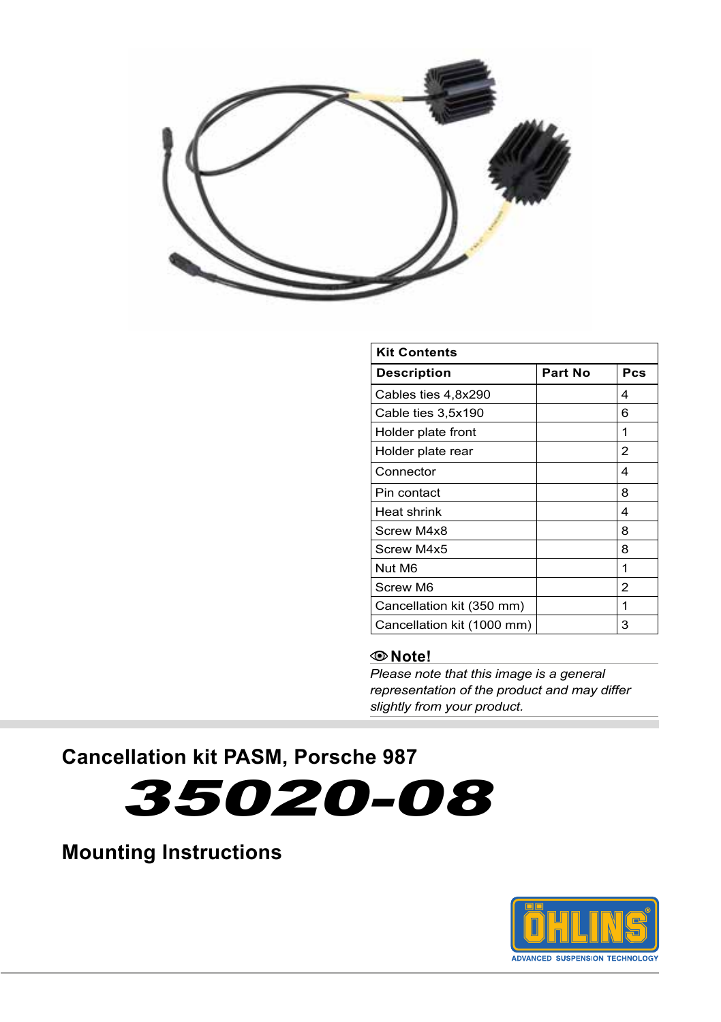

| <b>Kit Contents</b>        |                |     |
|----------------------------|----------------|-----|
| <b>Description</b>         | <b>Part No</b> | Pcs |
| Cables ties 4,8x290        |                | 4   |
| Cable ties 3,5x190         |                | 6   |
| Holder plate front         |                | 1   |
| Holder plate rear          |                | 2   |
| Connector                  |                | 4   |
| Pin contact                |                | 8   |
| Heat shrink                |                | 4   |
| Screw M4x8                 |                | 8   |
| Screw M4x5                 |                | 8   |
| Nut M6                     |                | 1   |
| Screw M6                   |                | 2   |
| Cancellation kit (350 mm)  |                | 1   |
| Cancellation kit (1000 mm) |                | 3   |

### **Note!**

*Please note that this image is a general representation of the product and may differ slightly from your product.*

**Cancellation kit PASM, Porsche 987** 



## **Mounting Instructions**

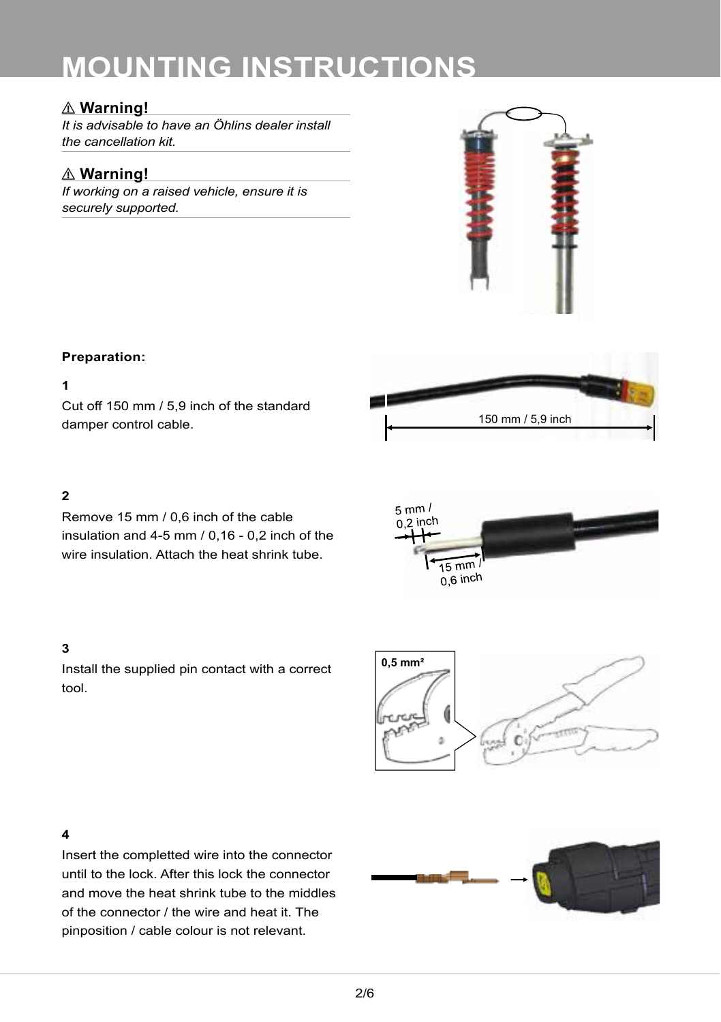## ⚠ **Warning!**

*It is advisable to have an Öhlins dealer install the cancellation kit.*

## ⚠ **Warning!**

*If working on a raised vehicle, ensure it is securely supported.*



#### **Preparation:**

#### **1**

Cut off 150 mm / 5,9 inch of the standard damper control cable.



### **2**

Remove 15 mm / 0,6 inch of the cable insulation and 4-5 mm / 0,16 - 0,2 inch of the wire insulation. Attach the heat shrink tube.

#### **3**

Install the supplied pin contact with a correct tool.





#### **4**

Insert the completted wire into the connector until to the lock. After this lock the connector and move the heat shrink tube to the middles of the connector / the wire and heat it. The pinposition / cable colour is not relevant.

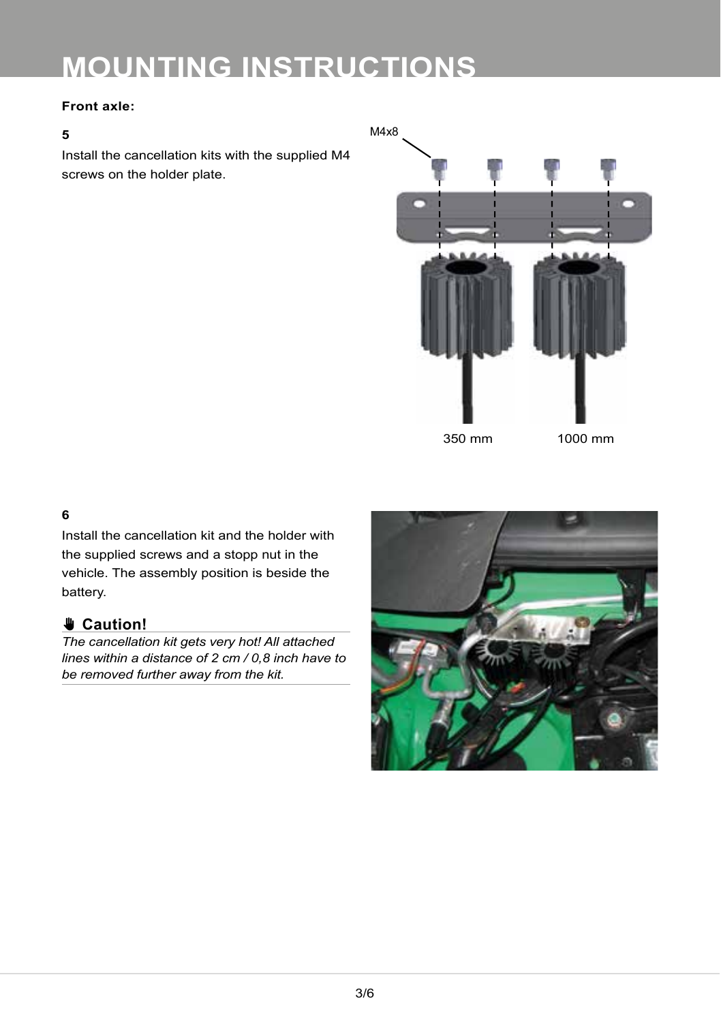#### **Front axle:**

#### **5**

Install the cancellation kits with the supplied M4 screws on the holder plate.



#### **6**

Install the cancellation kit and the holder with the supplied screws and a stopp nut in the vehicle. The assembly position is beside the battery.

## ✋**✋ Caution!**

*The cancellation kit gets very hot! All attached lines within a distance of 2 cm / 0,8 inch have to be removed further away from the kit.*

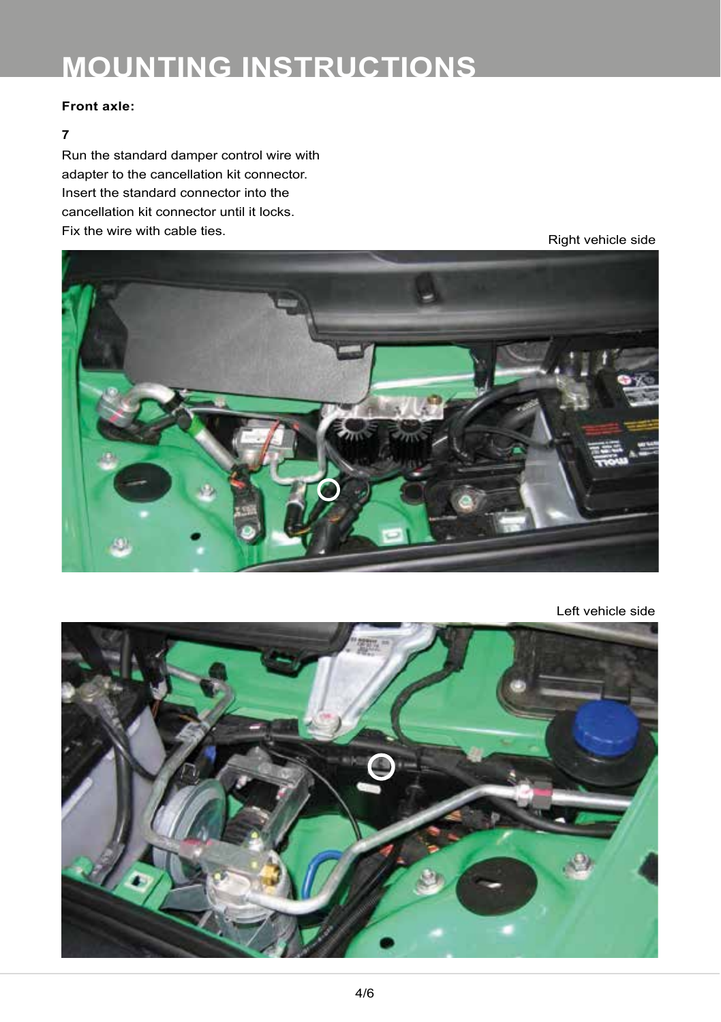#### **Front axle:**

#### **7**

Run the standard damper control wire with adapter to the cancellation kit connector. Insert the standard connector into the cancellation kit connector until it locks. Fix the wire with cable ties.<br>
Right vehicle side



Left vehicle side

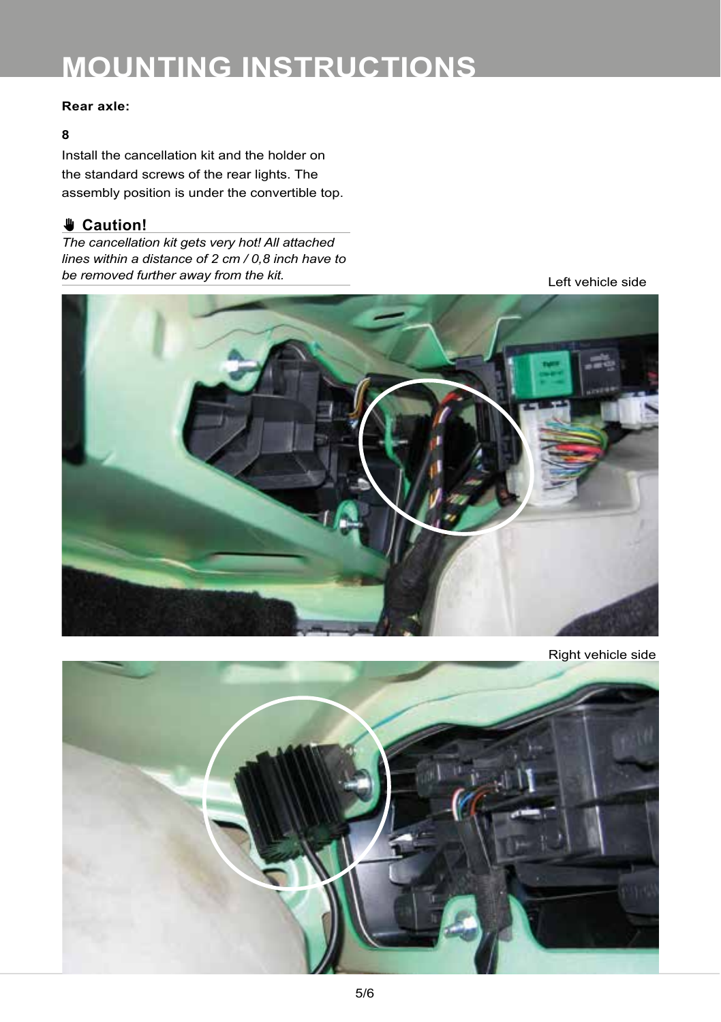#### **Rear axle:**

#### **8**

Install the cancellation kit and the holder on the standard screws of the rear lights. The assembly position is under the convertible top.

## ✋**✋ Caution!**

*The cancellation kit gets very hot! All attached lines within a distance of 2 cm / 0,8 inch have to be removed further away from the kit.*

Left vehicle side



Right vehicle side